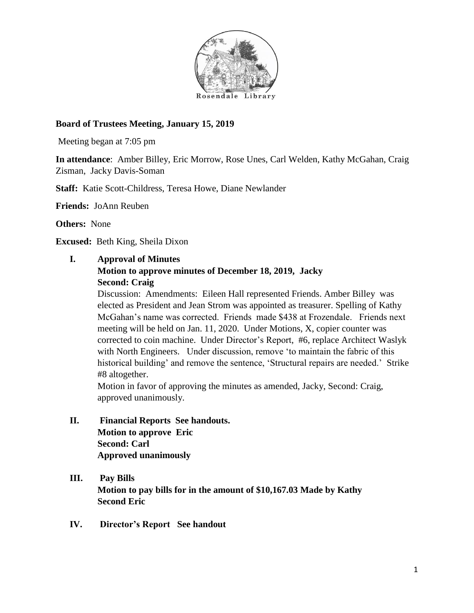

# **Board of Trustees Meeting, January 15, 2019**

Meeting began at 7:05 pm

**In attendance**: Amber Billey, Eric Morrow, Rose Unes, Carl Welden, Kathy McGahan, Craig Zisman, Jacky Davis-Soman

**Staff:** Katie Scott-Childress, Teresa Howe, Diane Newlander

**Friends:** JoAnn Reuben

**Others:** None

**Excused:** Beth King, Sheila Dixon

#### **I. Approval of Minutes**

#### **Motion to approve minutes of December 18, 2019, Jacky Second: Craig**

Discussion: Amendments: Eileen Hall represented Friends. Amber Billey was elected as President and Jean Strom was appointed as treasurer. Spelling of Kathy McGahan's name was corrected. Friends made \$438 at Frozendale. Friends next meeting will be held on Jan. 11, 2020. Under Motions, X, copier counter was corrected to coin machine. Under Director's Report, #6, replace Architect Waslyk with North Engineers. Under discussion, remove 'to maintain the fabric of this historical building' and remove the sentence, 'Structural repairs are needed.' Strike #8 altogether.

Motion in favor of approving the minutes as amended, Jacky, Second: Craig, approved unanimously.

- **II. Financial Reports See handouts. Motion to approve Eric Second: Carl Approved unanimously**
- **III. Pay Bills Motion to pay bills for in the amount of \$10,167.03 Made by Kathy Second Eric**
- **IV. Director's Report See handout**